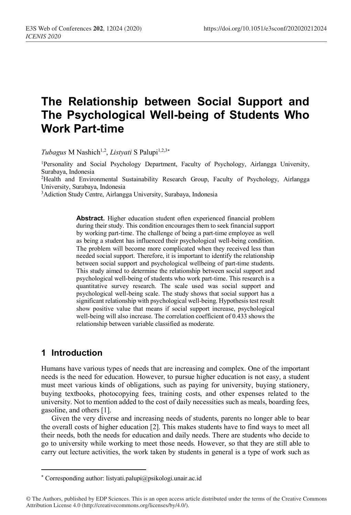# **The Relationship between Social Support and The Psychological Well-being of Students Who Work Part-time**

*Tubagus* M Nashich<sup>1,2</sup>, *Listyati* S Palupi<sup>1,2,3\*</sup>

1Personality and Social Psychology Department, Faculty of Psychology, Airlangga University, Surabaya, Indonesia

2Health and Environmental Sustainability Research Group, Faculty of Psychology, Airlangga University, Surabaya, Indonesia

3 Adiction Study Centre, Airlangga University, Surabaya, Indonesia

**Abstract.** Higher education student often experienced financial problem during their study. This condition encourages them to seek financial support by working part-time. The challenge of being a part-time employee as well as being a student has influenced their psychological well-being condition. The problem will become more complicated when they received less than needed social support. Therefore, it is important to identify the relationship between social support and psychological wellbeing of part-time students. This study aimed to determine the relationship between social support and psychological well-being of students who work part-time. This research is a quantitative survey research. The scale used was social support and psychological well-being scale. The study shows that social support has a significant relationship with psychological well-being. Hypothesis test result show positive value that means if social support increase, psychological well-being will also increase. The correlation coefficient of 0.433 shows the relationship between variable classified as moderate.

## **1 Introduction**

 $\overline{a}$ 

Humans have various types of needs that are increasing and complex. One of the important needs is the need for education. However, to pursue higher education is not easy, a student must meet various kinds of obligations, such as paying for university, buying stationery, buying textbooks, photocopying fees, training costs, and other expenses related to the university. Not to mention added to the cost of daily necessities such as meals, boarding fees, gasoline, and others [1].

Given the very diverse and increasing needs of students, parents no longer able to bear the overall costs of higher education [2]. This makes students have to find ways to meet all their needs, both the needs for education and daily needs. There are students who decide to go to university while working to meet those needs. However, so that they are still able to carry out lecture activities, the work taken by students in general is a type of work such as

<sup>\*</sup> Corresponding author: listyati.palupi@psikologi.unair.ac.id

<sup>©</sup> The Authors, published by EDP Sciences. This is an open access article distributed under the terms of the Creative Commons Attribution License 4.0 (http://creativecommons.org/licenses/by/4.0/).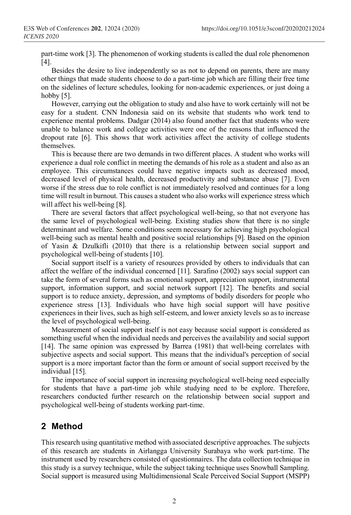part-time work [3]. The phenomenon of working students is called the dual role phenomenon [4].

Besides the desire to live independently so as not to depend on parents, there are many other things that made students choose to do a part-time job which are filling their free time on the sidelines of lecture schedules, looking for non-academic experiences, or just doing a hobby [5].

However, carrying out the obligation to study and also have to work certainly will not be easy for a student. CNN Indonesia said on its website that students who work tend to experience mental problems. Dadgar (2014) also found another fact that students who were unable to balance work and college activities were one of the reasons that influenced the dropout rate [6]. This shows that work activities affect the activity of college students themselves.

This is because there are two demands in two different places. A student who works will experience a dual role conflict in meeting the demands of his role as a student and also as an employee. This circumstances could have negative impacts such as decreased mood, decreased level of physical health, decreased productivity and substance abuse [7]. Even worse if the stress due to role conflict is not immediately resolved and continues for a long time will result in burnout. This causes a student who also works will experience stress which will affect his well-being [8].

There are several factors that affect psychological well-being, so that not everyone has the same level of psychological well-being. Existing studies show that there is no single determinant and welfare. Some conditions seem necessary for achieving high psychological well-being such as mental health and positive social relationships [9]. Based on the opinion of Yasin & Dzulkifli (2010) that there is a relationship between social support and psychological well-being of students [10].

Social support itself is a variety of resources provided by others to individuals that can affect the welfare of the individual concerned [11]. Sarafino (2002) says social support can take the form of several forms such as emotional support, appreciation support, instrumental support, information support, and social network support [12]. The benefits and social support is to reduce anxiety, depression, and symptoms of bodily disorders for people who experience stress [13]. Individuals who have high social support will have positive experiences in their lives, such as high self-esteem, and lower anxiety levels so as to increase the level of psychological well-being.

Measurement of social support itself is not easy because social support is considered as something useful when the individual needs and perceives the availability and social support [14]. The same opinion was expressed by Barrea (1981) that well-being correlates with subjective aspects and social support. This means that the individual's perception of social support is a more important factor than the form or amount of social support received by the individual [15].

The importance of social support in increasing psychological well-being need especially for students that have a part-time job while studying need to be explore. Therefore, researchers conducted further research on the relationship between social support and psychological well-being of students working part-time.

## **2 Method**

This research using quantitative method with associated descriptive approaches. The subjects of this research are students in Airlangga University Surabaya who work part-time. The instrument used by researchers consisted of questionnaires. The data collection technique in this study is a survey technique, while the subject taking technique uses Snowball Sampling. Social support is measured using Multidimensional Scale Perceived Social Support (MSPP)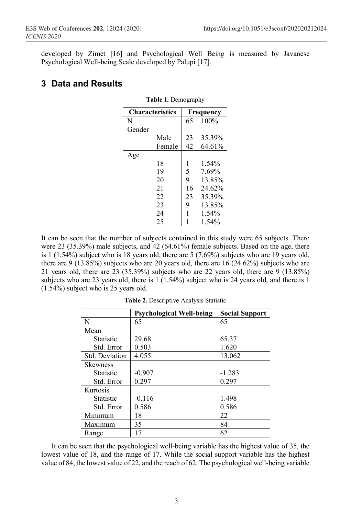developed by Zimet [16] and Psychological Well Being is measured by Javanese Psychological Well-being Scale developed by Palupi [17].

#### **3 Data and Results**

| <b>Characteristics</b> |        | Frequency |          |  |
|------------------------|--------|-----------|----------|--|
| N                      |        | 65        | 100%     |  |
| Gender                 |        |           |          |  |
|                        | Male   | 23        | 35.39%   |  |
|                        | Female | 42        | 64.61%   |  |
| Age                    |        |           |          |  |
|                        | 18     | 1         | 1.54%    |  |
|                        | 19     | 5         | 7.69%    |  |
|                        | 20     | 9         | 13.85%   |  |
|                        | 21     | 16        | 24.62%   |  |
|                        | 22     | 23        | 35.39%   |  |
|                        | 23     | 9         | 13.85%   |  |
|                        | 24     | 1         | $1.54\%$ |  |
|                        | 25     |           | 1.54%    |  |

**Table 1.** Demography

It can be seen that the number of subjects contained in this study were 65 subjects. There were 23 (35.39%) male subjects, and 42 (64.61%) female subjects. Based on the age, there is 1 (1.54%) subject who is 18 years old, there are 5 (7.69%) subjects who are 19 years old, there are 9 (13.85%) subjects who are 20 years old, there are 16 (24.62%) subjects who are 21 years old, there are 23 (35.39%) subjects who are 22 years old, there are 9 (13.85%) subjects who are 23 years old, there is  $1(1.54\%)$  subject who is 24 years old, and there is 1 (1.54%) subject who is 25 years old.

|                  | <b>Psychological Well-being</b> | <b>Social Support</b> |
|------------------|---------------------------------|-----------------------|
| N                | 65                              | 65                    |
| Mean             |                                 |                       |
| <b>Statistic</b> | 29.68                           | 65.37                 |
| Std. Error       | 0.503                           | 1.620                 |
| Std. Deviation   | 4.055                           | 13.062                |
| <b>Skewness</b>  |                                 |                       |
| <b>Statistic</b> | $-0.907$                        | $-1.283$              |
| Std. Error       | 0.297                           | 0.297                 |
| Kurtosis         |                                 |                       |
| <b>Statistic</b> | $-0.116$                        | 1.498                 |
| Std. Error       | 0.586                           | 0.586                 |
| Minimum          | 18                              | 22                    |
| Maximum          | 35                              | 84                    |
| Range            | 17                              | 62                    |

**Table 2.** Descriptive Analysis Statistic

It can be seen that the psychological well-being variable has the highest value of 35, the lowest value of 18, and the range of 17. While the social support variable has the highest value of 84, the lowest value of 22, and the reach of 62. The psychological well-being variable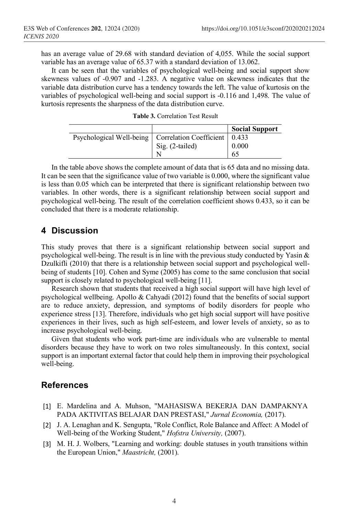has an average value of 29.68 with standard deviation of 4,055. While the social support variable has an average value of 65.37 with a standard deviation of 13.062.

It can be seen that the variables of psychological well-being and social support show skewness values of -0.907 and -1.283. A negative value on skewness indicates that the variable data distribution curve has a tendency towards the left. The value of kurtosis on the variables of psychological well-being and social support is -0.116 and 1,498. The value of kurtosis represents the sharpness of the data distribution curve.

|  | <b>Table 3.</b> Correlation Test Result |  |  |
|--|-----------------------------------------|--|--|
|--|-----------------------------------------|--|--|

|                                                            |                 | <b>Social Support</b> |
|------------------------------------------------------------|-----------------|-----------------------|
| Psychological Well-being   Correlation Coefficient   0.433 |                 |                       |
|                                                            | Sig. (2-tailed) | 0.000                 |
|                                                            |                 | 65                    |

In the table above shows the complete amount of data that is 65 data and no missing data. It can be seen that the significance value of two variable is 0.000, where the significant value is less than 0.05 which can be interpreted that there is significant relationship between two variables. In other words, there is a significant relationship between social support and psychological well-being. The result of the correlation coefficient shows 0.433, so it can be concluded that there is a moderate relationship.

#### **4 Discussion**

This study proves that there is a significant relationship between social support and psychological well-being. The result is in line with the previous study conducted by Yasin  $\&$ Dzulkifli (2010) that there is a relationship between social support and psychological wellbeing of students [10]. Cohen and Syme (2005) has come to the same conclusion that social support is closely related to psychological well-being [11].

Research shown that students that received a high social support will have high level of psychological wellbeing. Apollo & Cahyadi (2012) found that the benefits of social support are to reduce anxiety, depression, and symptoms of bodily disorders for people who experience stress [13]. Therefore, individuals who get high social support will have positive experiences in their lives, such as high self-esteem, and lower levels of anxiety, so as to increase psychological well-being.

Given that students who work part-time are individuals who are vulnerable to mental disorders because they have to work on two roles simultaneously. In this context, social support is an important external factor that could help them in improving their psychological well-being.

#### **References**

- [1] E. Mardelina and A. Muhson, "MAHASISWA BEKERJA DAN DAMPAKNYA PADA AKTIVITAS BELAJAR DAN PRESTASI," *Jurnal Economia,* (2017).
- [2] J. A. Lenaghan and K. Sengupta, "Role Conflict, Role Balance and Affect: A Model of Well-being of the Working Student," *Hofstra University,* (2007).
- [3] M. H. J. Wolbers, "Learning and working: double statuses in youth transitions within the European Union," *Maastricht,* (2001).